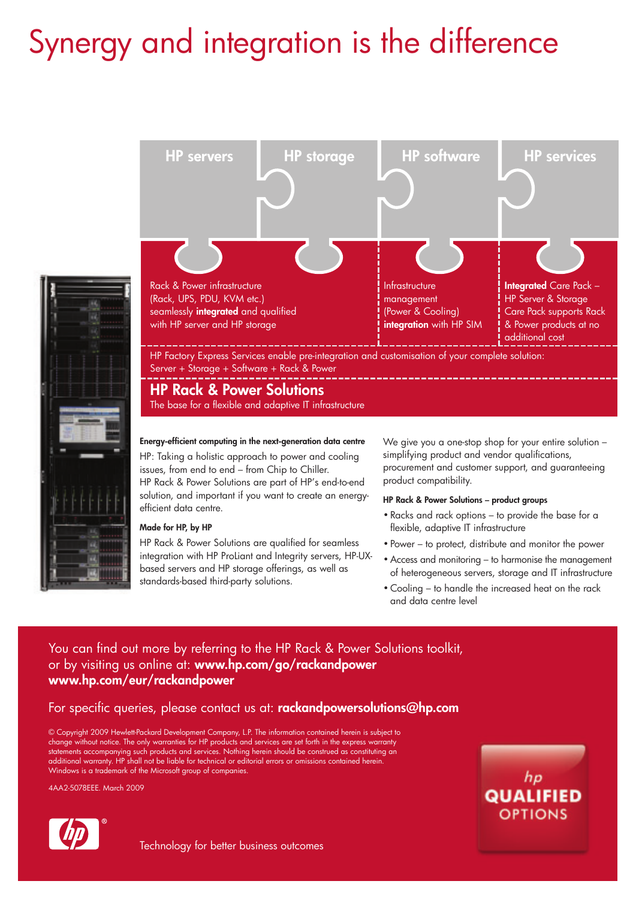# Synergy and integration is the difference





**HP Rack & Power Solutions**

The base for a flexible and adaptive IT infrastructure

**Energy-efficient computing in the next-generation data centre** HP: Taking a holistic approach to power and cooling issues, from end to end – from Chip to Chiller. HP Rack & Power Solutions are part of HP's end-to-end solution, and important if you want to create an energyefficient data centre.

### **Made for HP, by HP**

HP Rack & Power Solutions are qualified for seamless integration with HP ProLiant and Integrity servers, HP-UXbased servers and HP storage offerings, as well as standards-based third-party solutions.

We give you a one-stop shop for your entire solution – simplifying product and vendor qualifications, procurement and customer support, and guaranteeing product compatibility.

### **HP Rack & Power Solutions – product groups**

- Racks and rack options to provide the base for a flexible, adaptive IT infrastructure
- Power to protect, distribute and monitor the power
- Access and monitoring to harmonise the management of heterogeneous servers, storage and IT infrastructure
- Cooling to handle the increased heat on the rack and data centre level

# You can find out more by referring to the HP Rack & Power Solutions toolkit, or by visiting us online at: **www.hp.com/go/rackandpower www.hp.com/eur/rackandpower**

# For specific queries, please contact us at: **rackandpowersolutions@hp.com**

© Copyright 2009 Hewlett-Packard Development Company, L.P. The information contained herein is subject to change without notice. The only warranties for HP products and services are set forth in the express warranty statements accompanying such products and services. Nothing herein should be construed as constituting an additional warranty. HP shall not be liable for technical or editorial errors or omissions contained herein. Windows is a trademark of the Microsoft group of companies.

4AA2-5078EEE. March 2009



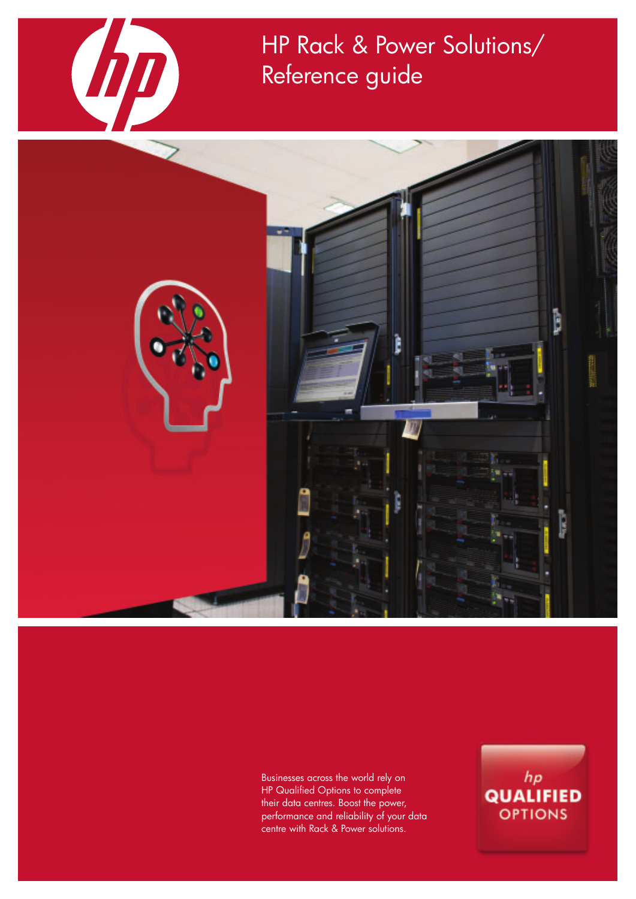

HP Rack & Power Solutions/ Reference guide



Businesses across the world rely on HP Qualified Options to complete their data centres. Boost the power, performance and reliability of your data centre with Rack & Power solutions.

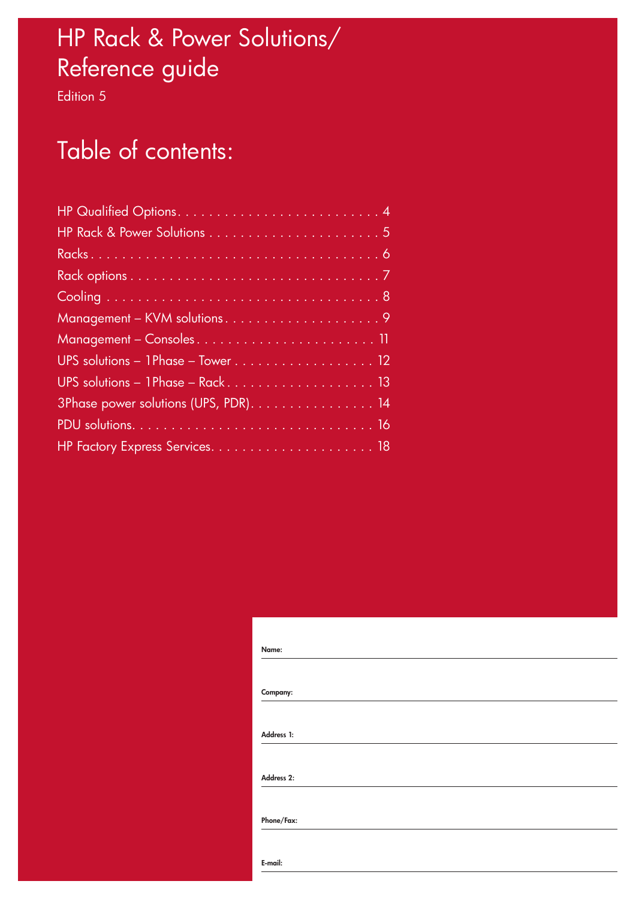# HP Rack & Power Solutions/ Reference guide

Edition 5

# Table of contents:

| UPS solutions - 1 Phase - Rack 13     |
|---------------------------------------|
| 3Phase power solutions (UPS, PDR). 14 |
|                                       |
|                                       |

| Name:      |  |
|------------|--|
|            |  |
|            |  |
| Company:   |  |
|            |  |
| Address 1: |  |
|            |  |
| Address 2: |  |
|            |  |
| Phone/Fax: |  |
|            |  |
| E-mail:    |  |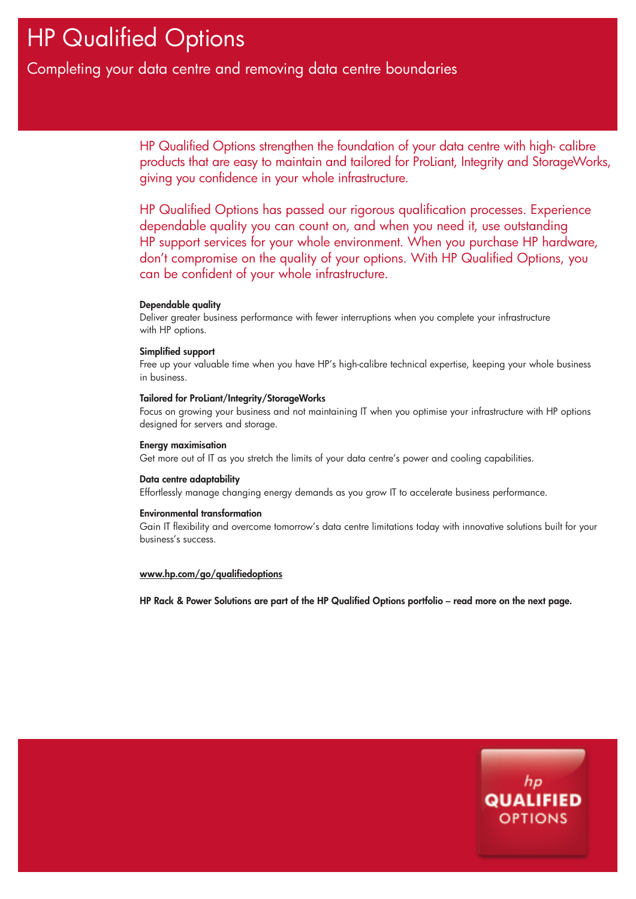# HP Qualified Options

# Completing your data centre and removing data centre boundaries

HP Qualified Options strengthen the foundation of your data centre with high- calibre products that are easy to maintain and tailored for ProLiant, Integrity and StorageWorks, giving you confidence in your whole infrastructure.

HP Qualified Options has passed our rigorous qualification processes. Experience dependable quality you can count on, and when you need it, use outstanding HP support services for your whole environment. When you purchase HP hardware, don't compromise on the quality of your options. With HP Qualified Options, you can be confident of your whole infrastructure.

# **Dependable quality**

Deliver greater business performance with fewer interruptions when you complete your infrastructure with HP options.

# **Simplified support**

Free up your valuable time when you have HP's high-calibre technical expertise, keeping your whole business in business.

### **Tailored for ProLiant/Integrity/StorageWorks**

Focus on growing your business and not maintaining IT when you optimise your infrastructure with HP options designed for servers and storage.

# **Energy maximisation**

Get more out of IT as you stretch the limits of your data centre's power and cooling capabilities.

### **Data centre adaptability**

Effortlessly manage changing energy demands as you grow IT to accelerate business performance.

### **Environmental transformation**

Gain IT flexibility and overcome tomorrow's data centre limitations today with innovative solutions built for your business's success.

# **www.hp.com/go/qualifiedoptions**

**HP Rack & Power Solutions are part of the HP Qualified Options portfolio – read more on the next page.**

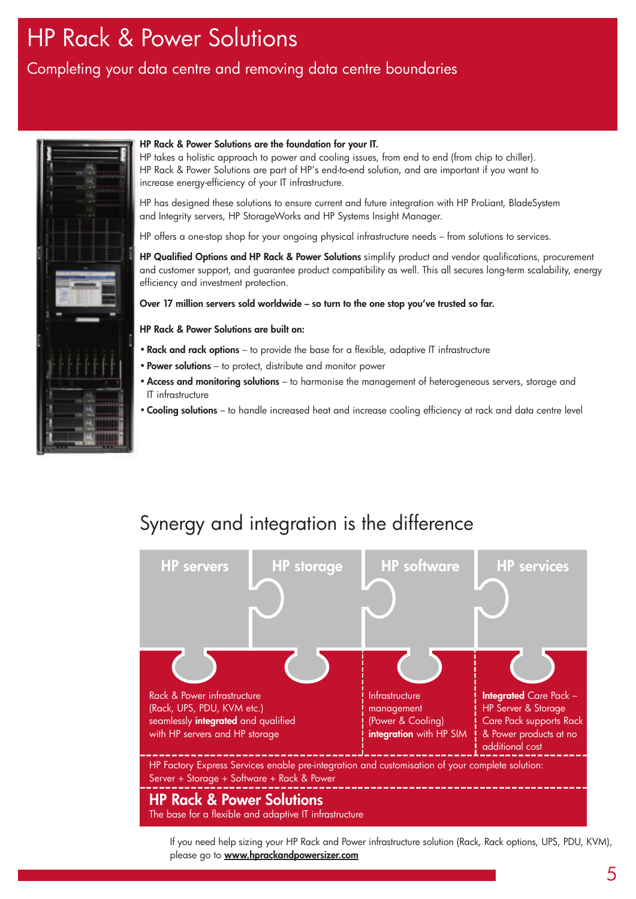# HP Rack & Power Solutions

# Completing your data centre and removing data centre boundaries



# **HP Rack & Power Solutions are the foundation for your IT.**

HP takes a holistic approach to power and cooling issues, from end to end (from chip to chiller). HP Rack & Power Solutions are part of HP's end-to-end solution, and are important if you want to increase energy-efficiency of your IT infrastructure.

HP has designed these solutions to ensure current and future integration with HP ProLiant, BladeSystem and Integrity servers, HP StorageWorks and HP Systems Insight Manager.

HP offers a one-stop shop for your ongoing physical infrastructure needs – from solutions to services.

**HP Qualified Options and HP Rack & Power Solutions** simplify product and vendor qualifications, procurement and customer support, and guarantee product compatibility as well. This all secures long-term scalability, energy efficiency and investment protection.

**Over 17 million servers sold worldwide – so turn to the one stop you've trusted so far.**

# **HP Rack & Power Solutions are built on:**

- **Rack and rack options** to provide the base for a flexible, adaptive IT infrastructure
- **Power solutions** to protect, distribute and monitor power
- •**Access and monitoring solutions** to harmonise the management of heterogeneous servers, storage and IT infrastructure
- **Cooling solutions** to handle increased heat and increase cooling efficiency at rack and data centre level

# Synergy and integration is the difference



If you need help sizing your HP Rack and Power infrastructure solution (Rack, Rack options, UPS, PDU, KVM), please go to **www.hprackandpowersizer.com**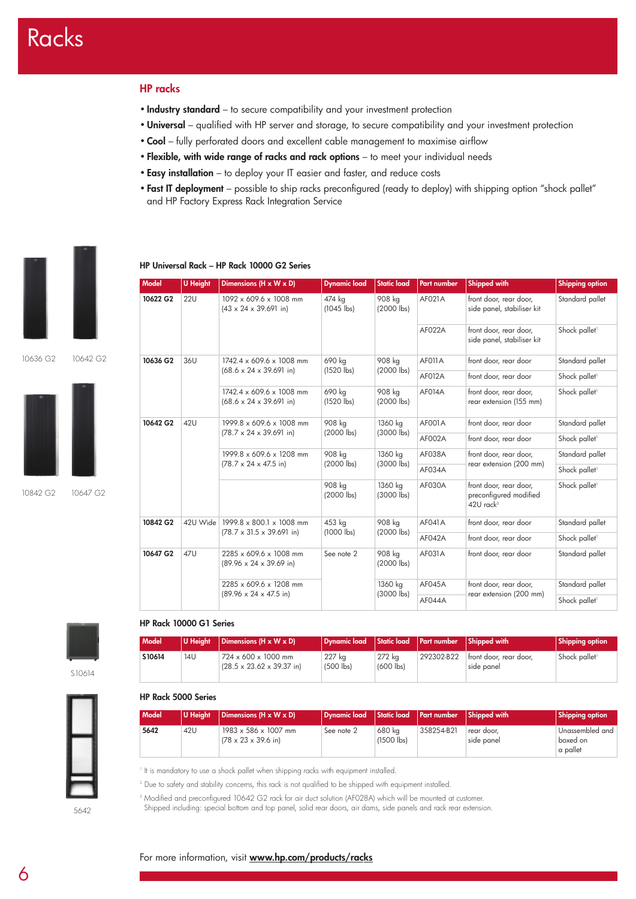# **HP racks**

- **Industry standard** to secure compatibility and your investment protection
- •**Universal** qualified with HP server and storage, to secure compatibility and your investment protection
- **Cool** fully perforated doors and excellent cable management to maximise airflow
- **Flexible, with wide range of racks and rack options** to meet your individual needs
- **Easy installation** to deploy your IT easier and faster, and reduce costs
- **Fast IT deployment** possible to ship racks preconfigured (ready to deploy) with shipping option "shock pallet" and HP Factory Express Rack Integration Service

**Model U Height Dimensions (H x W x D) Dynamic load Static load Part number Shipped with Shipping option**





10842 G2 10647 G2



#### **HP Rack 10000 G1 Series**

| Model  |     | U Height   Dimensions (H x W x D)                            | Dynamic load   Static load   Part number   Shipped with |                       |            |                                      | <b>Shipping option</b>    |
|--------|-----|--------------------------------------------------------------|---------------------------------------------------------|-----------------------|------------|--------------------------------------|---------------------------|
| S10614 | 14U | 724 x 600 x 1000 mm<br>$(28.5 \times 23.62 \times 39.37)$ in | 227 kg<br>$(500$ lbs)                                   | 272 kg<br>$(600$ lbs) | 292302-B22 | front door, rear door,<br>side panel | Shock pallet <sup>1</sup> |

#### **HP Rack 5000 Series**

| <b>Model</b> | U Height | Dimensions ( $H \times W \times D$ )                                        | Dynamic load |                        | Static load Part number | Shipped with             | <b>Shipping option</b>                  |
|--------------|----------|-----------------------------------------------------------------------------|--------------|------------------------|-------------------------|--------------------------|-----------------------------------------|
| 5642         | 42U      | $1983 \times 586 \times 1007$ mm<br>$(78 \times 23 \times 39.6 \text{ in})$ | See note 2   | 680 ka<br>$(1500$ lbs) | 358254-B21              | rear door.<br>side panel | Unassembled and<br>boxed on<br>a pallet |

<sup>1</sup> It is mandatory to use a shock pallet when shipping racks with equipment installed.

<sup>2</sup> Due to safety and stability concerns, this rack is not qualified to be shipped with equipment installed.

<sup>3</sup> Modified and preconfigured 10642 G2 rack for air duct solution (AF028A) which will be mounted at customer.

Shipped including: special bottom and top panel, solid rear doors, air dams, side panels and rack rear extension.

5642

| × | I<br>۰.<br>v |
|---|--------------|

| 10622 G2 | 22U                                                                                                                       | 1092 x 609.6 x 1008 mm<br>$(43 \times 24 \times 39.691)$ in)                                                          | 474 kg<br>$(1045$ lbs) | 908 kg<br>$(2000$ lbs)                                                      | AF021A                    | front door, rear door,<br>side panel, stabiliser kit | Standard pallet           |                         |
|----------|---------------------------------------------------------------------------------------------------------------------------|-----------------------------------------------------------------------------------------------------------------------|------------------------|-----------------------------------------------------------------------------|---------------------------|------------------------------------------------------|---------------------------|-------------------------|
|          |                                                                                                                           |                                                                                                                       |                        |                                                                             | AF022A                    | front door, rear door,<br>side panel, stabiliser kit | Shock pallet <sup>1</sup> |                         |
| 10636 G2 | 36U                                                                                                                       | 1742.4 x 609.6 x 1008 mm                                                                                              | 690 kg                 | 908 kg                                                                      | <b>AF011A</b>             | front door, rear door                                | Standard pallet           |                         |
|          |                                                                                                                           | $(68.6 \times 24 \times 39.691)$ in)                                                                                  | $(1520$ lbs)           | $(2000$ lbs)                                                                | AF012A                    | front door, rear door                                | Shock pallet <sup>1</sup> |                         |
|          |                                                                                                                           | 1742.4 x 609.6 x 1008 mm<br>$(68.6 \times 24 \times 39.691)$ in)                                                      | 690 kg<br>$(1520$ lbs) | 908 kg<br>$(2000$ lbs)                                                      | <b>AF014A</b>             | front door, rear door,<br>rear extension (155 mm)    | Shock pallet <sup>1</sup> |                         |
| 10642 G2 | 42U                                                                                                                       | 908 kg<br>1999.8 x 609.6 x 1008 mm<br>1360 kg<br>$(2000$ lbs)<br>$(78.7 \times 24 \times 39.691)$ in)<br>$(3000$ lbs) |                        | AF001A                                                                      | front door, rear door     | Standard pallet                                      |                           |                         |
|          | 908 kg<br>1999.8 x 609.6 x 1208 mm<br>$(2000$ lbs)<br>$(78.7 \times 24 \times 47.5 \text{ in})$<br>908 kg<br>$(2000$ lbs) |                                                                                                                       |                        | AF002A                                                                      | front door, rear door     | Shock pallet <sup>1</sup>                            |                           |                         |
|          |                                                                                                                           |                                                                                                                       |                        |                                                                             | 1360 kg                   | AF038A                                               | front door, rear door,    | Standard pallet         |
|          |                                                                                                                           |                                                                                                                       |                        |                                                                             |                           | (3000 lbs)                                           | AF034A                    | rear extension (200 mm) |
|          |                                                                                                                           | 1360 kg<br>$(3000$ lbs)                                                                                               | AF030A                 | front door, rear door,<br>preconfigured modified<br>$42U$ rack <sup>3</sup> | Shock pallet <sup>1</sup> |                                                      |                           |                         |
| 10842 G2 | 42U Wide                                                                                                                  | 1999.8 x 800.1 x 1008 mm                                                                                              | 453 kg                 | 908 kg                                                                      | AF041A                    | front door, rear door                                | Standard pallet           |                         |
|          |                                                                                                                           | $(78.7 \times 31.5 \times 39.691)$ in)                                                                                | $(1000$ lbs)           | $(2000$ lbs)                                                                | AF042A                    | front door, rear door                                | Shock pallet <sup>1</sup> |                         |
| 10647 G2 | 47U                                                                                                                       | 2285 x 609.6 x 1008 mm<br>$(89.96 \times 24 \times 39.69 \text{ in})$                                                 | See note 2             | 908 kg<br>$(2000$ lbs)                                                      | AF031A                    | front door, rear door                                | Standard pallet           |                         |
|          |                                                                                                                           | 2285 x 609.6 x 1208 mm                                                                                                |                        | 1360 kg                                                                     | AF045A                    | front door, rear door,                               | Standard pallet           |                         |
|          |                                                                                                                           | $(89.96 \times 24 \times 47.5 \text{ in})$                                                                            |                        | (3000 lbs)                                                                  | AF044A                    | rear extension (200 mm)                              | Shock pallet <sup>1</sup> |                         |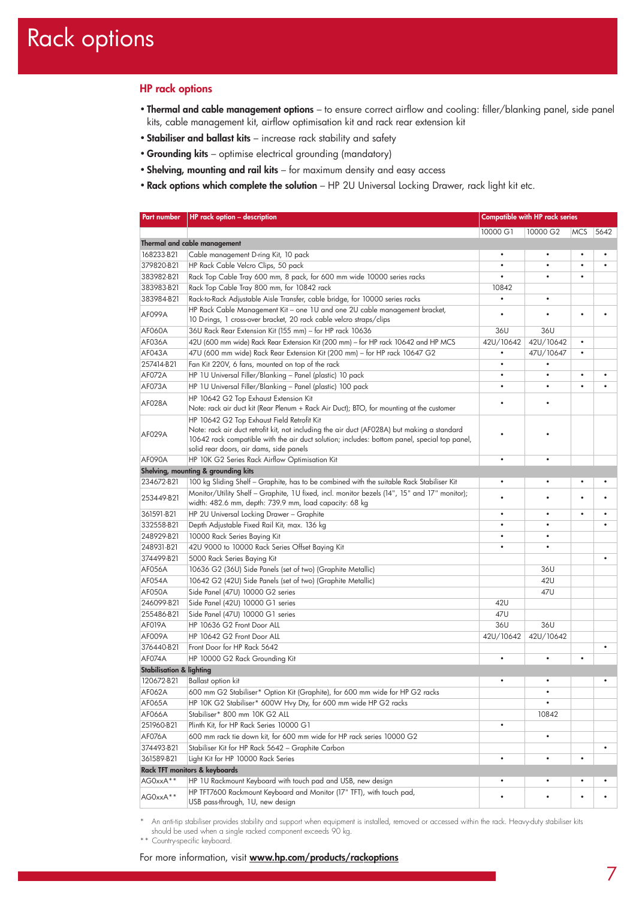# Rack options

# **HP rack options**

- **Thermal and cable management options** to ensure correct airflow and cooling: filler/blanking panel, side panel kits, cable management kit, airflow optimisation kit and rack rear extension kit
- **Stabiliser and ballast kits** increase rack stability and safety
- **Grounding kits** optimise electrical grounding (mandatory)
- **Shelving, mounting and rail kits** for maximum density and easy access
- **Rack options which complete the solution** HP 2U Universal Locking Drawer, rack light kit etc.

| Part number                         | HP rack option - description                                                                 | Compatible with HP rack series |           |            |      |
|-------------------------------------|----------------------------------------------------------------------------------------------|--------------------------------|-----------|------------|------|
|                                     |                                                                                              | 10000 G1                       | 10000 G2  | <b>MCS</b> | 5642 |
|                                     | Thermal and cable management                                                                 |                                |           |            |      |
| 168233-B21                          | Cable management D-ring Kit, 10 pack                                                         |                                |           |            |      |
| 379820-B21                          | HP Rack Cable Velcro Clips, 50 pack                                                          | ٠                              | ٠         |            |      |
| 383982-B21                          | Rack Top Cable Tray 600 mm, 8 pack, for 600 mm wide 10000 series racks                       | ٠                              | $\bullet$ | ٠          |      |
| 383983-B21                          | Rack Top Cable Tray 800 mm, for 10842 rack                                                   | 10842                          |           |            |      |
| 383984-B21                          | Rack-to-Rack Adjustable Aisle Transfer, cable bridge, for 10000 series racks                 | $\bullet$                      | $\bullet$ |            |      |
|                                     | HP Rack Cable Management Kit - one 1U and one 2U cable management bracket,                   |                                |           |            |      |
| AF099A                              | 10 D-rings, 1 cross-over bracket, 20 rack cable velcro straps/clips                          | ٠                              |           | ۰          |      |
| AF060A                              | 36U Rack Rear Extension Kit (155 mm) - for HP rack 10636                                     | 36U                            | 36U       |            |      |
| <b>AF036A</b>                       | 42U (600 mm wide) Rack Rear Extension Kit (200 mm) - for HP rack 10642 and HP MCS            | 42U/10642                      | 42U/10642 | ٠          |      |
| AF043A                              | 47U (600 mm wide) Rack Rear Extension Kit (200 mm) - for HP rack 10647 G2                    | ٠                              | 47U/10647 | ٠          |      |
| 257414-B21                          | Fan Kit 220V, 6 fans, mounted on top of the rack                                             | $\bullet$                      | $\bullet$ |            |      |
| AF072A                              | HP 1U Universal Filler/Blanking - Panel (plastic) 10 pack                                    | $\bullet$                      | ٠         | ٠          |      |
| AF073A                              | HP 1U Universal Filler/Blanking - Panel (plastic) 100 pack                                   | $\bullet$                      | $\bullet$ | $\bullet$  |      |
|                                     | HP 10642 G2 Top Exhaust Extension Kit                                                        |                                |           |            |      |
| AF028A                              | Note: rack air duct kit (Rear Plenum + Rack Air Duct); BTO, for mounting at the customer     |                                |           |            |      |
|                                     | HP 10642 G2 Top Exhaust Field Retrofit Kit                                                   |                                |           |            |      |
|                                     | Note: rack air duct retrofit kit, not including the air duct (AF028A) but making a standard  |                                |           |            |      |
| AF029A                              | 10642 rack compatible with the air duct solution; includes: bottom panel, special top panel, |                                |           |            |      |
|                                     | solid rear doors, air dams, side panels                                                      |                                |           |            |      |
| AF090A                              | HP 10K G2 Series Rack Airflow Optimisation Kit                                               |                                |           |            |      |
|                                     | Shelving, mounting & grounding kits                                                          |                                |           |            |      |
| 234672-B21                          | 100 kg Sliding Shelf - Graphite, has to be combined with the suitable Rack Stabiliser Kit    | $\bullet$                      | ٠         | ٠          |      |
| 253449-B21                          | Monitor/Utility Shelf - Graphite, 1U fixed, incl. monitor bezels (14", 15" and 17" monitor); |                                |           |            |      |
|                                     | width: 482.6 mm, depth: 739.9 mm, load capacity: 68 kg                                       |                                |           |            |      |
| 361591-B21                          | HP 2U Universal Locking Drawer - Graphite                                                    | ٠                              | ٠         | ٠          |      |
| 332558-B21                          | Depth Adjustable Fixed Rail Kit, max. 136 kg                                                 | ٠                              |           |            |      |
| 248929-B21                          | 10000 Rack Series Baying Kit                                                                 | $\bullet$                      | ٠         |            |      |
| 248931-B21                          | 42U 9000 to 10000 Rack Series Offset Baying Kit                                              |                                | $\bullet$ |            |      |
| 374499-B21                          | 5000 Rack Series Baying Kit                                                                  |                                |           |            |      |
| <b>AF056A</b>                       | 10636 G2 (36U) Side Panels (set of two) (Graphite Metallic)                                  |                                | 36U       |            |      |
| AF054A                              | 10642 G2 (42U) Side Panels (set of two) (Graphite Metallic)                                  |                                | 42U       |            |      |
| AF050A                              | Side Panel (47U) 10000 G2 series                                                             |                                | 47U       |            |      |
| 246099-B21                          | Side Panel (42U) 10000 G1 series                                                             | 42U                            |           |            |      |
| 255486-B21                          | Side Panel (47U) 10000 G1 series                                                             | 47U                            |           |            |      |
| AF019A                              | HP 10636 G2 Front Door ALL                                                                   | 36U                            | 36U       |            |      |
| <b>AF009A</b>                       | HP 10642 G2 Front Door ALL                                                                   | 42U/10642                      | 42U/10642 |            |      |
| 376440-B21                          | Front Door for HP Rack 5642                                                                  |                                |           |            |      |
| <b>AF074A</b>                       | HP 10000 G2 Rack Grounding Kit                                                               | $\bullet$                      |           | ٠          |      |
| <b>Stabilisation &amp; lighting</b> |                                                                                              |                                |           |            |      |
| 120672-B21                          | <b>Ballast option kit</b>                                                                    |                                |           |            |      |
| AF062A                              | 600 mm G2 Stabiliser* Option Kit (Graphite), for 600 mm wide for HP G2 racks                 |                                | ٠         |            |      |
| AF065A                              | HP 10K G2 Stabiliser* 600W Hvy Dty, for 600 mm wide HP G2 racks                              |                                | $\bullet$ |            |      |
| AF066A                              | Stabiliser* 800 mm 10K G2 ALL                                                                |                                | 10842     |            |      |
| 251960-B21                          | Plinth Kit, for HP Rack Series 10000 G1                                                      | $\bullet$                      |           |            |      |
| AF076A                              | 600 mm rack tie down kit, for 600 mm wide for HP rack series 10000 G2                        |                                | ٠         |            |      |
| 374493-B21                          | Stabiliser Kit for HP Rack 5642 - Graphite Carbon                                            |                                |           |            |      |
| 361589-B21                          | Light Kit for HP 10000 Rack Series                                                           | ٠                              | ٠         | ٠          |      |
|                                     | Rack TFT monitors & keyboards                                                                |                                |           |            |      |
| AG0xxA**                            | HP 1U Rackmount Keyboard with touch pad and USB, new design                                  | ٠                              | ٠         |            |      |
|                                     | HP TFT7600 Rackmount Keyboard and Monitor (17" TFT), with touch pad,                         |                                |           |            |      |
| AG0xxA**                            | USB pass-through, 1U, new design                                                             |                                |           |            |      |

\* An anti-tip stabiliser provides stability and support when equipment is installed, removed or accessed within the rack. Heavy-duty stabiliser kits should be used when a single racked component exceeds 90 kg.

\*\* Country-specific keyboard.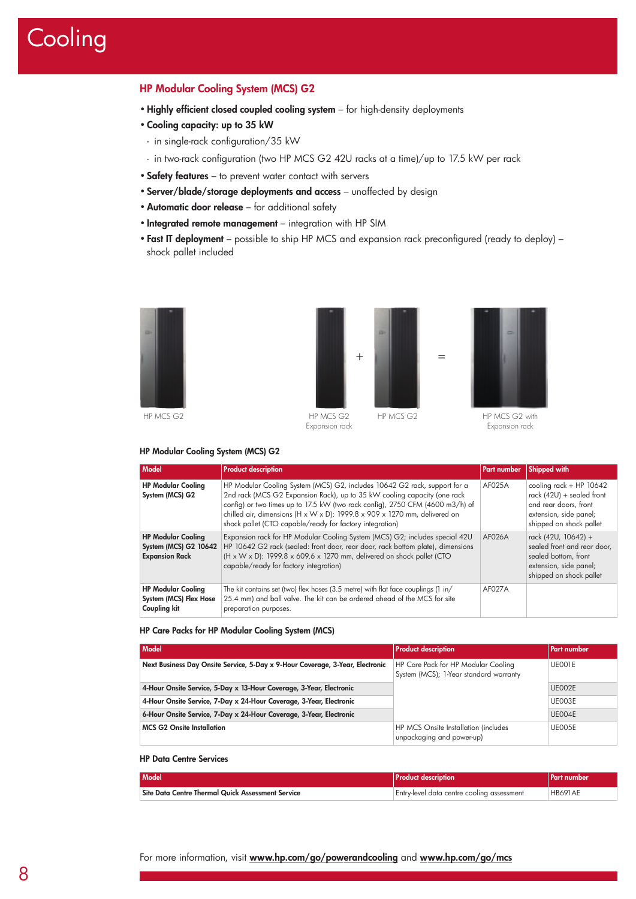# **Cooling**

# **HP Modular Cooling System (MCS) G2**

- •**Highly efficient closed coupled cooling system** for high-density deployments
- **Cooling capacity: up to 35 kW**
- in single-rack configuration/35 kW
- in two-rack configuration (two HP MCS G2 42U racks at a time)/up to 17.5 kW per rack
- **Safety features** to prevent water contact with servers
- **Server/blade/storage deployments and access** unaffected by design
- •**Automatic door release** for additional safety
- **Integrated remote management** integration with HP SIM
- **Fast IT deployment** possible to ship HP MCS and expansion rack preconfigured (ready to deploy) shock pallet included



HP MCS G2





Expansion rack

#### **HP Modular Cooling System (MCS) G2**

| Model                                                                              | <b>Product description</b>                                                                                                                                                                                                                                                                                                                                                      | <b>Part number</b> | <b>Shipped with</b>                                                                                                                    |
|------------------------------------------------------------------------------------|---------------------------------------------------------------------------------------------------------------------------------------------------------------------------------------------------------------------------------------------------------------------------------------------------------------------------------------------------------------------------------|--------------------|----------------------------------------------------------------------------------------------------------------------------------------|
| <b>HP Modular Cooling</b><br>System (MCS) G2                                       | HP Modular Cooling System (MCS) G2, includes 10642 G2 rack, support for a<br>2nd rack (MCS G2 Expansion Rack), up to 35 kW cooling capacity (one rack<br>config) or two times up to 17.5 kW (two rack config), 2750 CFM (4600 m3/h) of<br>chilled air, dimensions (H x W x D): 1999.8 x 909 x 1270 mm, delivered on<br>shock pallet (CTO capable/ready for factory integration) | AF025A             | cooling $rack + HP$ 10642<br>rack $(42U)$ + sealed front<br>and rear doors, front<br>extension, side panel;<br>shipped on shock pallet |
| <b>HP Modular Cooling</b><br><b>System (MCS) G2 10642</b><br><b>Expansion Rack</b> | Expansion rack for HP Modular Cooling System (MCS) G2; includes special 42U<br>HP 10642 G2 rack (sealed: front door, rear door, rack bottom plate), dimensions<br>$(H \times W \times D)$ : 1999.8 x 609.6 x 1270 mm, delivered on shock pallet (CTO<br>capable/ready for factory integration)                                                                                  | <b>AF026A</b>      | rack (42U, 10642) +<br>sealed front and rear door,<br>sealed bottom, front<br>extension, side panel;<br>shipped on shock pallet        |
| <b>HP Modular Cooling</b><br>System (MCS) Flex Hose<br>Coupling kit                | The kit contains set (two) flex hoses (3.5 metre) with flat face couplings (1 in/<br>25.4 mm) and ball valve. The kit can be ordered ahead of the MCS for site<br>preparation purposes.                                                                                                                                                                                         | AF027A             |                                                                                                                                        |

# **HP Care Packs for HP Modular Cooling System (MCS)**

| <b>Model</b>                                                                  | <b>Product description</b>                                                    | <b>Part numbers</b> |
|-------------------------------------------------------------------------------|-------------------------------------------------------------------------------|---------------------|
| Next Business Day Onsite Service, 5-Day x 9-Hour Coverage, 3-Year, Electronic | HP Care Pack for HP Modular Cooling<br>System (MCS); 1-Year standard warranty | UE001E              |
| 4-Hour Onsite Service, 5-Day x 13-Hour Coverage, 3-Year, Electronic           |                                                                               | <b>UE002E</b>       |
| 4-Hour Onsite Service, 7-Day x 24-Hour Coverage, 3-Year, Electronic           |                                                                               | UE003E              |
| 6-Hour Onsite Service, 7-Day x 24-Hour Coverage, 3-Year, Electronic           |                                                                               | UE004E              |
| <b>MCS G2 Onsite Installation</b>                                             | HP MCS Onsite Installation (includes<br>unpackaging and power-up)             | UE005E              |

# **HP Data Centre Services**

| Model <sup>1</sup>                                | <b>Product description</b>                 | l Part number  |
|---------------------------------------------------|--------------------------------------------|----------------|
| Site Data Centre Thermal Quick Assessment Service | Entry-level data centre cooling assessment | <b>HB691AE</b> |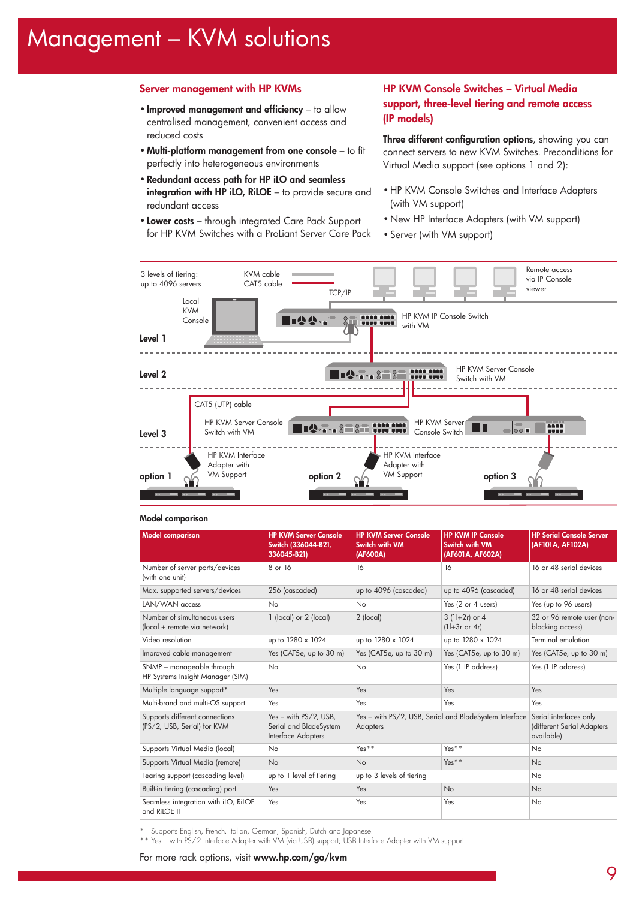# Management – KVM solutions

# **Server management with HP KVMs**

- **Improved management and efficiency** to allow centralised management, convenient access and reduced costs
- **Multi-platform management from one console** to fit perfectly into heterogeneous environments
- **Redundant access path for HP iLO and seamless integration with HP iLO, RiLOE** – to provide secure and redundant access
- **Lower costs** through integrated Care Pack Support for HP KVM Switches with a ProLiant Server Care Pack

# **HP KVM Console Switches – Virtual Media support, three-level tiering and remote access (IP models)**

**Three different configuration options**, showing you can connect servers to new KVM Switches. Preconditions for Virtual Media support (see options 1 and 2):

- HP KVM Console Switches and Interface Adapters (with VM support)
- New HP Interface Adapters (with VM support)
- Server (with VM support)



#### **Model comparison**

| <b>Model comparison</b>                                       | <b>HP KVM Server Console</b><br>Switch (336044-B21,<br>336045-B21)              | <b>HP KVM Server Console</b><br>Switch with VM<br>(AF600A) | <b>HP KVM IP Console</b><br>Switch with VM<br>(AF601A, AF602A) | <b>HP Serial Console Server</b><br>(AF101A, AF102A)                |
|---------------------------------------------------------------|---------------------------------------------------------------------------------|------------------------------------------------------------|----------------------------------------------------------------|--------------------------------------------------------------------|
| Number of server ports/devices<br>(with one unit)             | 8 or 16                                                                         | 16                                                         | 16                                                             | 16 or 48 serial devices                                            |
| Max. supported servers/devices                                | 256 (cascaded)                                                                  | up to 4096 (cascaded)                                      | up to 4096 (cascaded)                                          | 16 or 48 serial devices                                            |
| LAN/WAN access                                                | N <sub>o</sub>                                                                  | No                                                         | Yes (2 or 4 users)                                             | Yes (up to 96 users)                                               |
| Number of simultaneous users<br>(local + remote via network)  | 1 (local) or 2 (local)                                                          | 2 (local)                                                  | $3(1+2r)$ or 4<br>$(11+3r$ or 4r)                              | 32 or 96 remote user (non-<br>blocking access)                     |
| Video resolution                                              | up to 1280 x 1024                                                               | up to 1280 x 1024                                          | up to 1280 x 1024                                              | <b>Terminal emulation</b>                                          |
| Improved cable management                                     | Yes (CAT5e, up to 30 m)                                                         | Yes (CAT5e, up to 30 m)                                    | Yes (CAT5e, up to 30 m)                                        | Yes (CAT5e, up to 30 m)                                            |
| SNMP - manageable through<br>HP Systems Insight Manager (SIM) | N <sub>o</sub>                                                                  | No                                                         | Yes (1 IP address)                                             | Yes (1 IP address)                                                 |
| Multiple language support*                                    | Yes                                                                             | Yes                                                        | Yes                                                            | Yes                                                                |
| Multi-brand and multi-OS support                              | Yes                                                                             | Yes                                                        | Yes                                                            | Yes                                                                |
| Supports different connections<br>(PS/2, USB, Serial) for KVM | Yes - with $PS/2$ , USB,<br>Serial and BladeSystem<br><b>Interface Adapters</b> | <b>Adapters</b>                                            | Yes - with PS/2, USB, Serial and BladeSystem Interface         | Serial interfaces only<br>(different Serial Adapters<br>available) |
| Supports Virtual Media (local)                                | No                                                                              | $Yes**$                                                    | $Yes**$                                                        | No                                                                 |
| Supports Virtual Media (remote)                               | <b>No</b>                                                                       | <b>No</b>                                                  | $Yes**$                                                        | <b>No</b>                                                          |
| Tearing support (cascading level)                             | up to 1 level of tiering                                                        | up to 3 levels of tiering                                  |                                                                | No                                                                 |
| Built-in tiering (cascading) port                             | Yes                                                                             | Yes                                                        | No                                                             | <b>No</b>                                                          |
| Seamless integration with iLO, RiLOE<br>and RiLOE II          | Yes                                                                             | Yes                                                        | Yes                                                            | No                                                                 |

\* Supports English, French, Italian, German, Spanish, Dutch and Japanese.

\*\* Yes – with PS/2 Interface Adapter with VM (via USB) support; USB Interface Adapter with VM support.

For more rack options, visit **www.hp.com/go/kvm**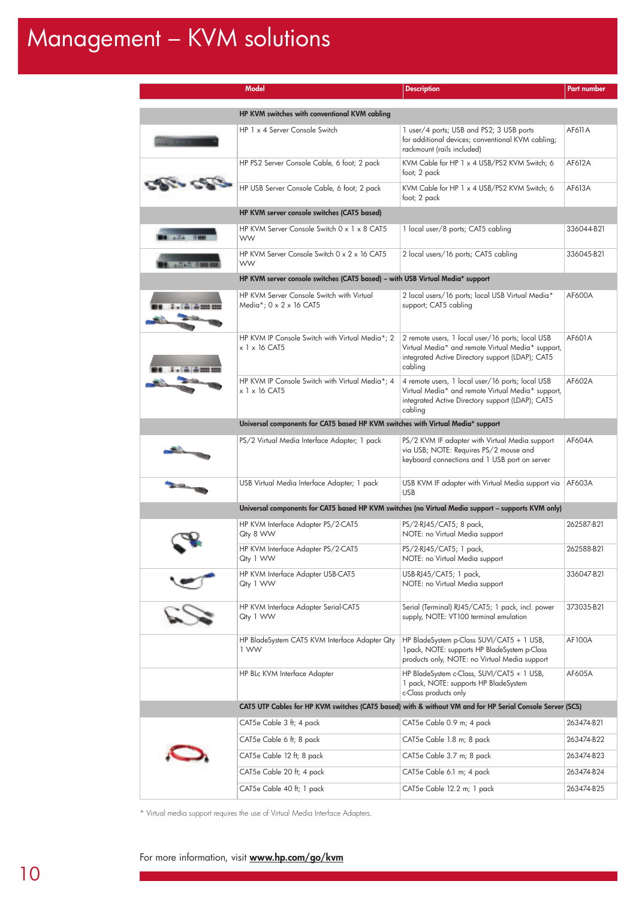# Management – KVM solutions

|            | Model                                                                                                     | <b>Description</b>                                                                                                                                                   | <b>Part number</b> |
|------------|-----------------------------------------------------------------------------------------------------------|----------------------------------------------------------------------------------------------------------------------------------------------------------------------|--------------------|
|            | HP KVM switches with conventional KVM cabling                                                             |                                                                                                                                                                      |                    |
|            | HP 1 x 4 Server Console Switch                                                                            | 1 user/4 ports; USB and PS2; 3 USB ports<br>for additional devices; conventional KVM cabling;<br>rackmount (rails included)                                          | AF611A             |
|            | HP PS2 Server Console Cable, 6 foot; 2 pack                                                               | KVM Cable for HP 1 x 4 USB/PS2 KVM Switch; 6<br>foot; 2 pack                                                                                                         | AF612A             |
|            | HP USB Server Console Cable, 6 foot; 2 pack                                                               | KVM Cable for HP 1 x 4 USB/PS2 KVM Switch; 6<br>foot; 2 pack                                                                                                         | AF613A             |
|            | HP KVM server console switches (CAT5 based)                                                               |                                                                                                                                                                      |                    |
|            | HP KVM Server Console Switch 0 x 1 x 8 CAT5<br><b>WW</b>                                                  | 1 local user/8 ports; CAT5 cabling                                                                                                                                   | 336044-B21         |
|            | HP KVM Server Console Switch 0 x 2 x 16 CAT5<br><b>WW</b>                                                 | 2 local users/16 ports; CAT5 cabling                                                                                                                                 | 336045-B21         |
|            | HP KVM server console switches (CAT5 based) - with USB Virtual Media* support                             |                                                                                                                                                                      |                    |
|            | HP KVM Server Console Switch with Virtual<br>Media*; 0 x 2 x 16 CAT5                                      | 2 local users/16 ports; local USB Virtual Media*<br>support; CAT5 cabling                                                                                            | AF600A             |
|            | HP KVM IP Console Switch with Virtual Media*; 2<br>$x$ 1 $x$ 16 CAT5                                      | 2 remote users, 1 local user/16 ports; local USB<br>Virtual Media* and remote Virtual Media* support,<br>integrated Active Directory support (LDAP); CAT5<br>cabling | AF601A             |
|            | HP KVM IP Console Switch with Virtual Media*; 4<br>x 1 x 16 CAT5                                          | 4 remote users, 1 local user/16 ports; local USB<br>Virtual Media* and remote Virtual Media* support,<br>integrated Active Directory support (LDAP); CAT5<br>cabling | AF602A             |
|            | Universal components for CAT5 based HP KVM switches with Virtual Media* support                           |                                                                                                                                                                      |                    |
|            | PS/2 Virtual Media Interface Adapter; 1 pack                                                              | PS/2 KVM IF adapter with Virtual Media support<br>via USB; NOTE: Requires PS/2 mouse and<br>keyboard connections and 1 USB port on server                            | AF604A             |
|            | USB Virtual Media Interface Adapter; 1 pack                                                               | USB KVM IF adapter with Virtual Media support via<br><b>USB</b>                                                                                                      | AF603A             |
|            |                                                                                                           | Universal components for CAT5 based HP KVM switches (no Virtual Media support - supports KVM only)                                                                   |                    |
|            | HP KVM Interface Adapter PS/2-CAT5<br>Qty 8 WW                                                            | PS/2-RJ45/CAT5; 8 pack,<br>NOTE: no Virtual Media support                                                                                                            | 262587-B21         |
|            | HP KVM Interface Adapter PS/2-CAT5<br>Qty 1 WW                                                            | PS/2-RJ45/CAT5; 1 pack,<br>NOTE: no Virtual Media support                                                                                                            | 262588-B21         |
| $\epsilon$ | HP KVM Interface Adapter USB-CAT5<br>Qty 1 WW                                                             | USB-RJ45/CAT5; 1 pack,<br>NOTE: no Virtual Media support                                                                                                             | 336047-B21         |
|            | HP KVM Interface Adapter Serial-CAT5<br>Qty 1 WW                                                          | Serial (Terminal) RJ45/CAT5; 1 pack, incl. power<br>supply, NOTE: VT100 terminal emulation                                                                           | 373035-B21         |
|            | HP BladeSystem CAT5 KVM Interface Adapter Qty<br>1 WW                                                     | HP BladeSystem p-Class SUVI/CAT5 + 1 USB,<br>1 pack, NOTE: supports HP BladeSystem p-Class<br>products only, NOTE: no Virtual Media support                          | <b>AF100A</b>      |
|            | HP BLc KVM Interface Adapter                                                                              | HP BladeSystem c-Class, SUVI/CAT5 + 1 USB,<br>1 pack, NOTE: supports HP BladeSystem<br>c-Class products only                                                         | AF605A             |
|            | CAT5 UTP Cables for HP KVM switches (CAT5 based) with & without VM and for HP Serial Console Server (SCS) |                                                                                                                                                                      |                    |
|            | CAT5e Cable 3 ft; 4 pack                                                                                  | CAT5e Cable 0.9 m; 4 pack                                                                                                                                            | 263474-B21         |
|            | CAT5e Cable 6 ft; 8 pack                                                                                  | CAT5e Cable 1.8 m; 8 pack                                                                                                                                            | 263474-B22         |
|            | CAT5e Cable 12 ft; 8 pack                                                                                 | CAT5e Cable 3.7 m; 8 pack                                                                                                                                            | 263474-B23         |
|            | CAT5e Cable 20 ft; 4 pack                                                                                 | CAT5e Cable 6.1 m; 4 pack                                                                                                                                            | 263474-B24         |
|            | CAT5e Cable 40 ft; 1 pack                                                                                 | CAT5e Cable 12.2 m; 1 pack                                                                                                                                           | 263474-B25         |

\* Virtual media support requires the use of Virtual Media Interface Adapters.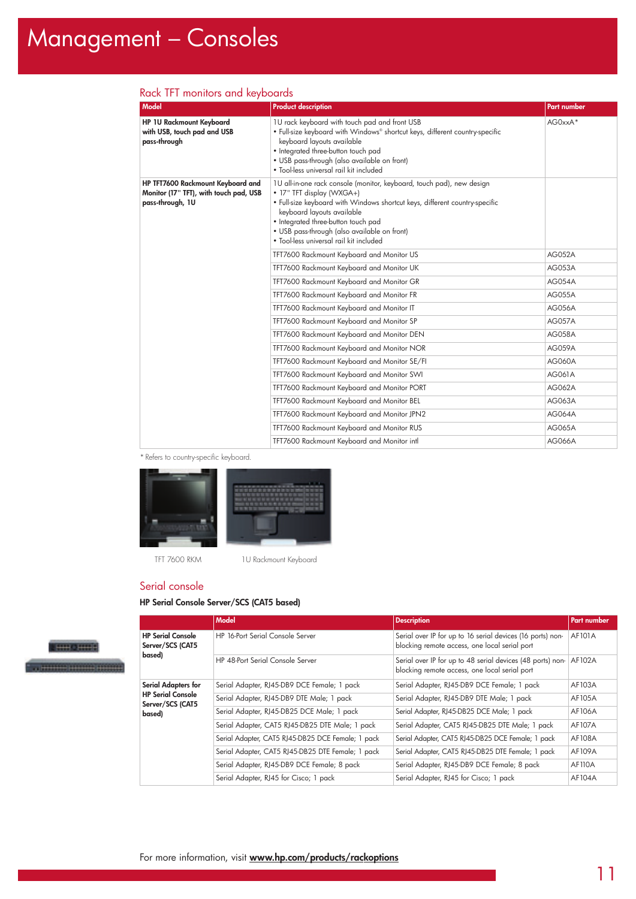# Management – Consoles

| <b>Model</b>                                                                                    | <b>Product description</b>                                                                                                                                                                                                                                                                                                                        | Part number   |
|-------------------------------------------------------------------------------------------------|---------------------------------------------------------------------------------------------------------------------------------------------------------------------------------------------------------------------------------------------------------------------------------------------------------------------------------------------------|---------------|
| HP 1U Rackmount Keyboard<br>with USB, touch pad and USB<br>pass-through                         | 1U rack keyboard with touch pad and front USB<br>• Full-size keyboard with Windows® shortcut keys, different country-specific<br>keyboard layouts available<br>• Integrated three-button touch pad<br>• USB pass-through (also available on front)<br>• Tool-less universal rail kit included                                                     | AG0xxA*       |
| HP TFT7600 Rackmount Keyboard and<br>Monitor (17" TFT), with touch pad, USB<br>pass-through, 1U | 1U all-in-one rack console (monitor, keyboard, touch pad), new design<br>• 17" TFT display (WXGA+)<br>• Full-size keyboard with Windows shortcut keys, different country-specific<br>keyboard layouts available<br>• Integrated three-button touch pad<br>• USB pass-through (also available on front)<br>. Tool-less universal rail kit included |               |
|                                                                                                 | TFT7600 Rackmount Keyboard and Monitor US                                                                                                                                                                                                                                                                                                         | <b>AG052A</b> |
|                                                                                                 | TFT7600 Rackmount Keyboard and Monitor UK                                                                                                                                                                                                                                                                                                         | <b>AG053A</b> |
|                                                                                                 | TFT7600 Rackmount Keyboard and Monitor GR                                                                                                                                                                                                                                                                                                         | <b>AG054A</b> |
|                                                                                                 | TFT7600 Rackmount Keyboard and Monitor FR                                                                                                                                                                                                                                                                                                         | <b>AG055A</b> |
|                                                                                                 | TFT7600 Rackmount Keyboard and Monitor IT                                                                                                                                                                                                                                                                                                         | <b>AG056A</b> |
|                                                                                                 | TFT7600 Rackmount Keyboard and Monitor SP                                                                                                                                                                                                                                                                                                         | <b>AG057A</b> |
|                                                                                                 | TFT7600 Rackmount Keyboard and Monitor DEN                                                                                                                                                                                                                                                                                                        | <b>AG058A</b> |
|                                                                                                 | TFT7600 Rackmount Keyboard and Monitor NOR                                                                                                                                                                                                                                                                                                        | <b>AG059A</b> |
|                                                                                                 | TFT7600 Rackmount Keyboard and Monitor SE/FI                                                                                                                                                                                                                                                                                                      | AG060A        |
|                                                                                                 | TFT7600 Rackmount Keyboard and Monitor SWI                                                                                                                                                                                                                                                                                                        | AG061A        |
|                                                                                                 | TFT7600 Rackmount Keyboard and Monitor PORT                                                                                                                                                                                                                                                                                                       | <b>AG062A</b> |
|                                                                                                 | TFT7600 Rackmount Keyboard and Monitor BEL                                                                                                                                                                                                                                                                                                        | AG063A        |
|                                                                                                 | TFT7600 Rackmount Keyboard and Monitor JPN2                                                                                                                                                                                                                                                                                                       | <b>AG064A</b> |
|                                                                                                 | TFT7600 Rackmount Keyboard and Monitor RUS                                                                                                                                                                                                                                                                                                        | <b>AG065A</b> |
|                                                                                                 | TFT7600 Rackmount Keyboard and Monitor intl                                                                                                                                                                                                                                                                                                       | <b>AG066A</b> |

# Rack TFT monitors and keyboards

\* Refers to country-specific keyboard.



TFT 7600 RKM 1U Rackmount Keyboard

### Serial console

### **HP Serial Console Server/SCS (CAT5 based)**



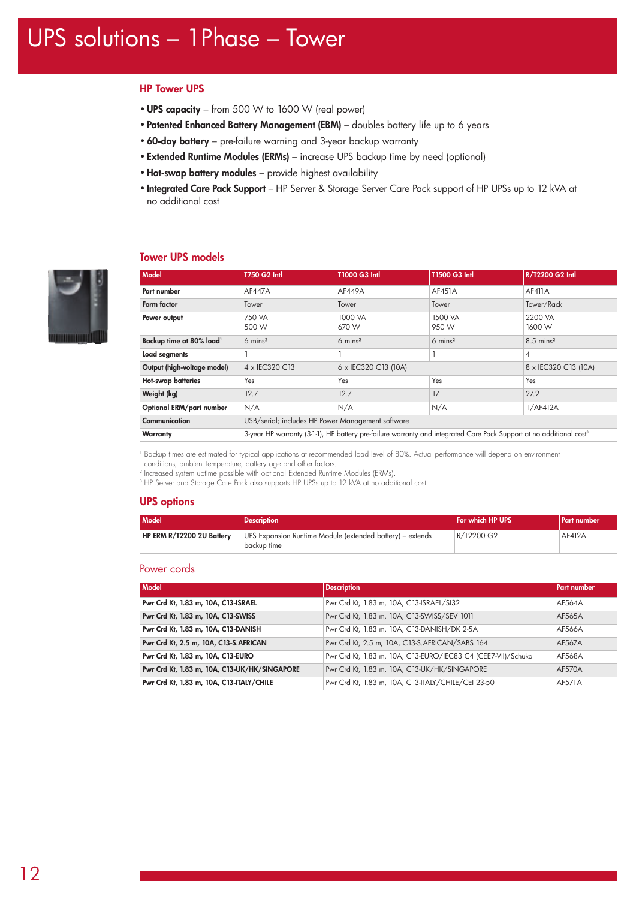# **HP Tower UPS**

- •**UPS capacity** from 500 W to 1600 W (real power)
- **Patented Enhanced Battery Management (EBM)** doubles battery life up to 6 years
- **60-day battery** pre-failure warning and 3-year backup warranty
- **Extended Runtime Modules (ERMs)** increase UPS backup time by need (optional)
- •**Hot-swap battery modules** provide highest availability
- **Integrated Care Pack Support** HP Server & Storage Server Care Pack support of HP UPSs up to 12 kVA at no additional cost

# **Tower UPS models**



| <b>Model</b>                         | T750 G2 Intl                                                                                                                    | T1000 G3 Intl        | T1500 G3 Intl      | R/T2200 G2 Intl      |
|--------------------------------------|---------------------------------------------------------------------------------------------------------------------------------|----------------------|--------------------|----------------------|
| Part number                          | <b>AF447A</b>                                                                                                                   | AF449A               | AF451A             | AF411A               |
| Form factor                          | Tower                                                                                                                           | Tower                | Tower              | Tower/Rack           |
| Power output                         | 750 VA<br>500 W                                                                                                                 | 1000 VA<br>670 W     | 1500 VA<br>950 W   | 2200 VA<br>1600 W    |
| Backup time at 80% load <sup>1</sup> | $6 \text{ mins}^2$                                                                                                              | $6 \text{ mins}^2$   | $6 \text{ mins}^2$ | $8.5 \text{ mins}^2$ |
| Load segments                        |                                                                                                                                 |                      |                    | 4                    |
| Output (high-voltage model)          | 4 x IEC320 C13                                                                                                                  | 6 x IEC320 C13 (10A) |                    | 8 x IEC320 C13 (10A) |
| Hot-swap batteries                   | Yes                                                                                                                             | Yes                  | Yes                | Yes                  |
| Weight (kg)                          | 12.7                                                                                                                            | 12.7                 | 17                 | 27.2                 |
| Optional ERM/part number             | N/A                                                                                                                             | N/A                  | N/A                | 1/AF412A             |
| Communication                        | USB/serial; includes HP Power Management software                                                                               |                      |                    |                      |
| Warranty                             | 3-year HP warranty (3-1-1), HP battery pre-failure warranty and integrated Care Pack Support at no additional cost <sup>3</sup> |                      |                    |                      |

<sup>1</sup> Backup times are estimated for typical applications at recommended load level of 80%. Actual performance will depend on environment conditions, ambient temperature, battery age and other factors.

<sup>2</sup> Increased system uptime possible with optional Extended Runtime Modules (ERMs).

<sup>3</sup> HP Server and Storage Care Pack also supports HP UPSs up to 12 kVA at no additional cost.

### **UPS options**

| Model                     | <b>Description</b>                                                       | For which HP UPS | Part number |
|---------------------------|--------------------------------------------------------------------------|------------------|-------------|
| HP ERM R/T2200 2U Battery | UPS Expansion Runtime Module (extended battery) – extends<br>backup time | R/T2200 G2       | AF412A      |

# Power cords

| Model                                        | <b>Description</b>                                           | Part number   |
|----------------------------------------------|--------------------------------------------------------------|---------------|
| Pwr Crd Kt, 1.83 m, 10A, C13-ISRAEL          | Pwr Crd Kt, 1.83 m, 10A, C13-ISRAEL/SI32                     | AF564A        |
| Pwr Crd Kt, 1.83 m, 10A, C13-SWISS           | Pwr Crd Kt, 1.83 m, 10A, C13-SWISS/SEV 1011                  | AF565A        |
| Pwr Crd Kt, 1.83 m, 10A, C13-DANISH          | Pwr Crd Kt, 1.83 m, 10A, C13-DANISH/DK 2-5A                  | AF566A        |
| Pwr Crd Kt, 2.5 m, 10A, C13-S.AFRICAN        | Pwr Crd Kt, 2.5 m, 10A, C13-S.AFRICAN/SABS 164               | AF567A        |
| Pwr Crd Kt, 1.83 m, 10A, C13-EURO            | Pwr Crd Kt, 1.83 m, 10A, C13-EURO/IEC83 C4 (CEE7-VII)/Schuko | AF568A        |
| Pwr Crd Kt, 1.83 m, 10A, C13-UK/HK/SINGAPORE | Pwr Crd Kt, 1.83 m, 10A, C13-UK/HK/SINGAPORE                 | <b>AF570A</b> |
| Pwr Crd Kt, 1.83 m, 10A, C13-ITALY/CHILE     | Pwr Crd Kt, 1.83 m, 10A, C13-ITALY/CHILE/CEI 23-50           | AF571A        |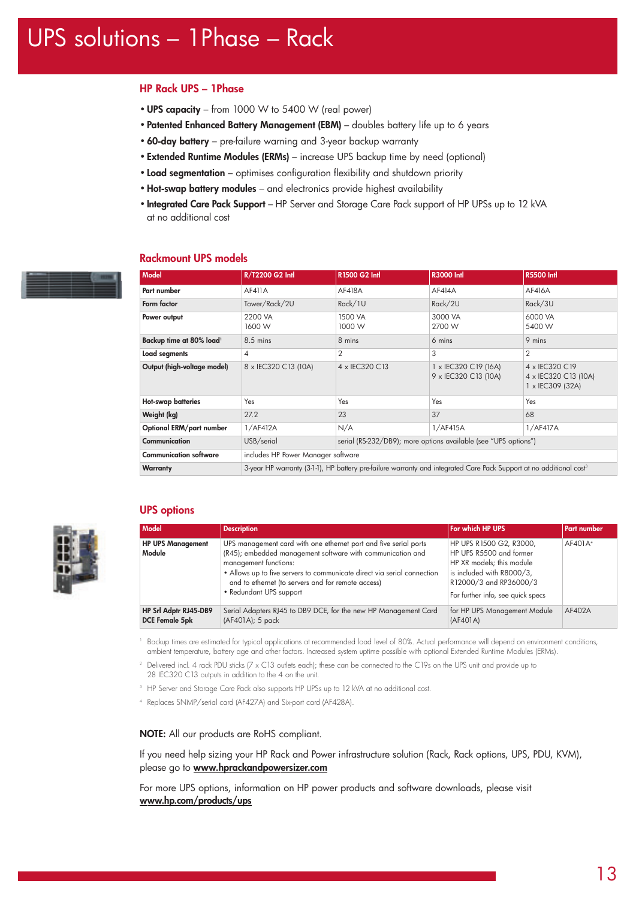# **HP Rack UPS – 1Phase**

- •**UPS capacity** from 1000 W to 5400 W (real power)
- **Patented Enhanced Battery Management (EBM)** doubles battery life up to 6 years
- **60-day battery** pre-failure warning and 3-year backup warranty
- **Extended Runtime Modules (ERMs)** increase UPS backup time by need (optional)
- **Load segmentation** optimises configuration flexibility and shutdown priority
- •**Hot-swap battery modules** and electronics provide highest availability
- **Integrated Care Pack Support** HP Server and Storage Care Pack support of HP UPSs up to 12 kVA at no additional cost

# **Rackmount UPS models**





# **UPS options**

| <b>Model</b>                                   | <b>Description</b>                                                                                                                                                                                                                                                                                                  | For which HP UPS                                                                                                                                                            | <b>Part number</b>  |
|------------------------------------------------|---------------------------------------------------------------------------------------------------------------------------------------------------------------------------------------------------------------------------------------------------------------------------------------------------------------------|-----------------------------------------------------------------------------------------------------------------------------------------------------------------------------|---------------------|
| <b>HP UPS Management</b><br>Module             | UPS management card with one ethernet port and five serial ports<br>(R45); embedded management software with communication and<br>management functions:<br>• Allows up to five servers to communicate direct via serial connection<br>and to ethernet (to servers and for remote access)<br>• Redundant UPS support | HP UPS R1500 G2, R3000,<br>HP UPS R5500 and former<br>HP XR models; this module<br>is included with R8000/3,<br>R12000/3 and RP36000/3<br>For further info, see quick specs | AF401A <sup>4</sup> |
| HP Srl Adptr RJ45-DB9<br><b>DCE Female 5pk</b> | Serial Adapters RJ45 to DB9 DCE, for the new HP Management Card<br>(AF401A); 5 pack                                                                                                                                                                                                                                 | for HP UPS Management Module<br>(AF401A)                                                                                                                                    | AF402A              |

<sup>1</sup> Backup times are estimated for typical applications at recommended load level of 80%. Actual performance will depend on environment conditions, ambient temperature, battery age and other factors. Increased system uptime possible with optional Extended Runtime Modules (ERMs).

<sup>2</sup> Delivered incl. 4 rack PDU sticks (7 x C13 outlets each); these can be connected to the C19s on the UPS unit and provide up to 28 IEC320 C13 outputs in addition to the 4 on the unit.

- <sup>3</sup> HP Server and Storage Care Pack also supports HP UPSs up to 12 kVA at no additional cost.
- <sup>4</sup> Replaces SNMP/serial card (AF427A) and Six-port card (AF428A).

### **NOTE:** All our products are RoHS compliant.

If you need help sizing your HP Rack and Power infrastructure solution (Rack, Rack options, UPS, PDU, KVM), please go to **www.hprackandpowersizer.com**

For more UPS options, information on HP power products and software downloads, please visit **www.hp.com/products/ups**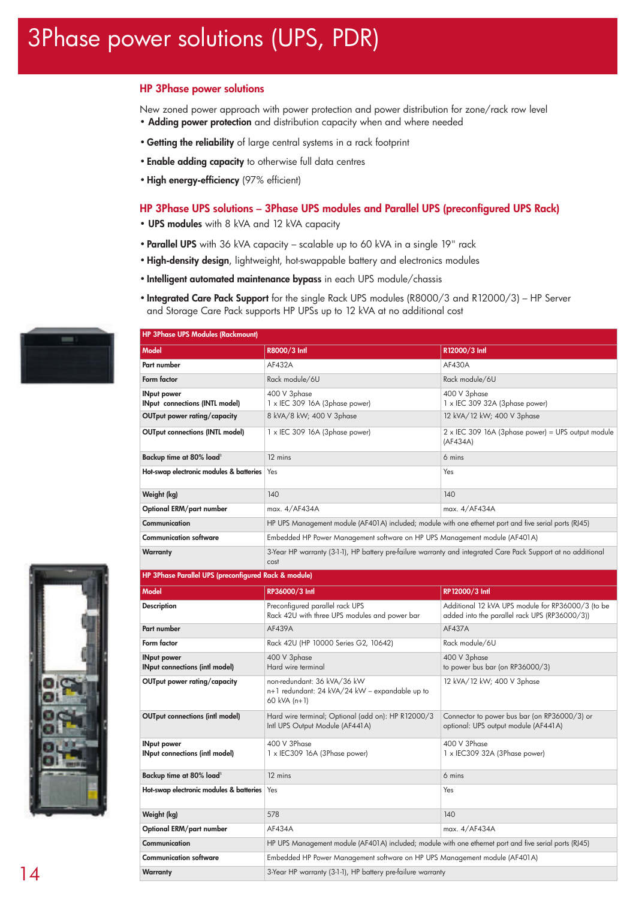# 3Phase power solutions (UPS, PDR)

# **HP 3Phase power solutions**

New zoned power approach with power protection and power distribution for zone/rack row level • **Adding power protection** and distribution capacity when and where needed

- **Getting the reliability** of large central systems in a rack footprint
- **Enable adding capacity** to otherwise full data centres
- •**High energy-efficiency** (97% efficient)

**HP 3Phase UPS Modules (Rackmount)**

# **HP 3Phase UPS solutions – 3Phase UPS modules and Parallel UPS (preconfigured UPS Rack)**

- **UPS modules** with 8 kVA and 12 kVA capacity
- **Parallel UPS** with 36 kVA capacity scalable up to 60 kVA in a single 19" rack
- •**High-density design**, lightweight, hot-swappable battery and electronics modules

**Model R8000/3 Intl R12000/3 Intl Part number AF432A AF430A** 

- **Intelligent automated maintenance bypass** in each UPS module/chassis
- **Integrated Care Pack Support** for the single Rack UPS modules (R8000/3 and R12000/3) HP Server and Storage Care Pack supports HP UPSs up to 12 kVA at no additional cost







| HP 3Phase Parallel UPS (preconfigured Rack & module) |                                                                                                        |                                                                                                    |  |
|------------------------------------------------------|--------------------------------------------------------------------------------------------------------|----------------------------------------------------------------------------------------------------|--|
| <b>Model</b>                                         | RP36000/3 Intl                                                                                         | RP12000/3 Intl                                                                                     |  |
| <b>Description</b>                                   | Preconfigured parallel rack UPS<br>Rack 42U with three UPS modules and power bar                       | Additional 12 kVA UPS module for RP36000/3 (to be<br>added into the parallel rack UPS (RP36000/3)) |  |
| Part number                                          | AF439A                                                                                                 | AF437A                                                                                             |  |
| Form factor                                          | Rack 42U (HP 10000 Series G2, 10642)                                                                   | Rack module/6U                                                                                     |  |
| <b>INput power</b><br>INput connections (intl model) | 400 V 3phase<br>Hard wire terminal                                                                     | 400 V 3phase<br>to power bus bar (on RP36000/3)                                                    |  |
| OUTput power rating/capacity                         | non-redundant: 36 kVA/36 kW<br>n+1 redundant: 24 kVA/24 kW - expandable up to<br>60 kVA (n+1)          | 12 kVA/12 kW; 400 V 3phase                                                                         |  |
| <b>OUTput connections (intl model)</b>               | Hard wire terminal; Optional (add on): HP R12000/3<br>Intl UPS Output Module (AF441A)                  | Connector to power bus bar (on RP36000/3) or<br>optional: UPS output module (AF441A)               |  |
| INput power<br>INput connections (intl model)        | 400 V 3Phase<br>1 x IEC309 16A (3Phase power)                                                          | 400 V 3Phase<br>1 x IEC309 32A (3Phase power)                                                      |  |
| Backup time at 80% load <sup>1</sup>                 | 12 mins                                                                                                | 6 mins                                                                                             |  |
| Hot-swap electronic modules & batteries              | Yes                                                                                                    | Yes                                                                                                |  |
| Weight (kg)                                          | 578                                                                                                    | 140                                                                                                |  |
| Optional ERM/part number                             | AF434A                                                                                                 | max. 4/AF434A                                                                                      |  |
| Communication                                        | HP UPS Management module (AF401A) included; module with one ethernet port and five serial ports (RJ45) |                                                                                                    |  |
| <b>Communication software</b>                        | Embedded HP Power Management software on HP UPS Management module (AF401A)                             |                                                                                                    |  |
| Warranty                                             | 3-Year HP warranty (3-1-1), HP battery pre-failure warranty                                            |                                                                                                    |  |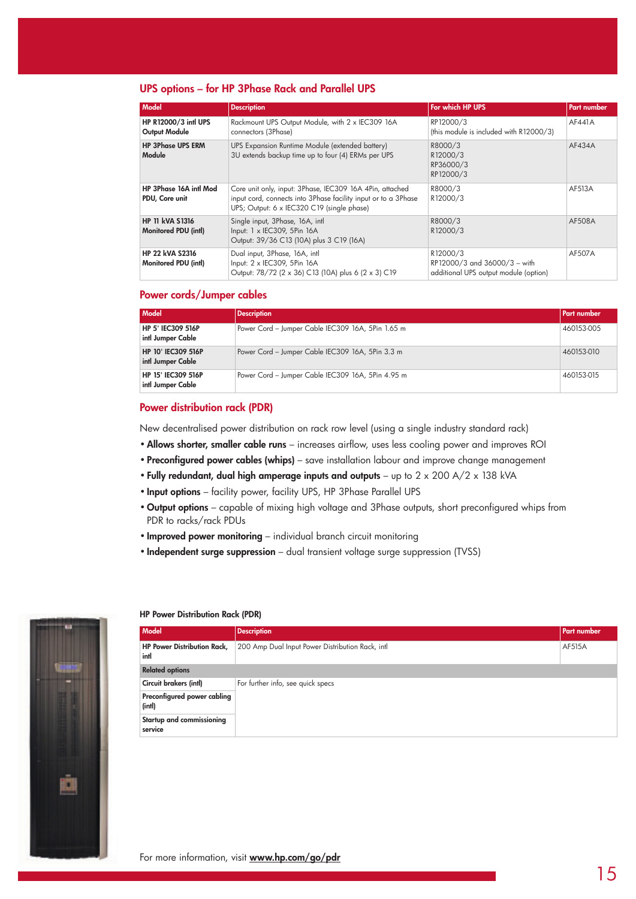# **UPS options – for HP 3Phase Rack and Parallel UPS**

| Model                                                 | <b>Description</b>                                                                                                                                                       | For which HP UPS                                                                  | <b>Part number</b> |
|-------------------------------------------------------|--------------------------------------------------------------------------------------------------------------------------------------------------------------------------|-----------------------------------------------------------------------------------|--------------------|
| HP R12000/3 intl UPS<br><b>Output Module</b>          | Rackmount UPS Output Module, with 2 x IEC309 16A<br>connectors (3Phase)                                                                                                  | RP12000/3<br>(this module is included with R12000/3)                              | AF441A             |
| <b>HP 3Phase UPS ERM</b><br>Module                    | UPS Expansion Runtime Module (extended battery)<br>3U extends backup time up to four (4) ERMs per UPS                                                                    | R8000/3<br>R12000/3<br>RP36000/3<br>RP12000/3                                     | AF434A             |
| HP 3Phase 16A intl Mod<br>PDU, Core unit              | Core unit only, input: 3Phase, IEC309 16A 4Pin, attached<br>input cord, connects into 3Phase facility input or to a 3Phase<br>UPS; Output: 6 x IEC320 C19 (single phase) | R8000/3<br>R12000/3                                                               | AF513A             |
| <b>HP 11 kVA S1316</b><br><b>Monitored PDU (intl)</b> | Single input, 3Phase, 16A, intl<br>Input: 1 x IEC309, 5Pin 16A<br>Output: 39/36 C13 (10A) plus 3 C19 (16A)                                                               | R8000/3<br>R <sub>12000</sub> /3                                                  | AF508A             |
| <b>HP 22 kVA S2316</b><br><b>Monitored PDU (intl)</b> | Dual input, 3Phase, 16A, intl.<br>Input: 2 x IEC309, 5Pin 16A<br>Output: 78/72 (2 x 36) C13 (10A) plus 6 (2 x 3) C19                                                     | R12000/3<br>RP12000/3 and 36000/3 - with<br>additional UPS output module (option) | AF507A             |

# **Power cords/Jumper cables**

| Model                                          | <b>Description</b>                                | <b>Part number</b> |
|------------------------------------------------|---------------------------------------------------|--------------------|
| HP 5' IEC309 516P<br>intl Jumper Cable         | Power Cord - Jumper Cable IEC309 16A, 5Pin 1.65 m | 460153-005         |
| <b>HP 10' IEC309 516P</b><br>intl Jumper Cable | Power Cord - Jumper Cable IEC309 16A, 5Pin 3.3 m  | 460153-010         |
| HP 15' IEC309 516P<br>intl Jumper Cable        | Power Cord - Jumper Cable IEC309 16A, 5Pin 4.95 m | 460153-015         |

# **Power distribution rack (PDR)**

New decentralised power distribution on rack row level (using a single industry standard rack)

- •**Allows shorter, smaller cable runs** increases airflow, uses less cooling power and improves ROI
- **Preconfigured power cables (whips)** save installation labour and improve change management
- **Fully redundant, dual high amperage inputs and outputs** up to 2 x 200 A/2 x 138 kVA
- **Input options** facility power, facility UPS, HP 3Phase Parallel UPS
- **Output options** capable of mixing high voltage and 3Phase outputs, short preconfigured whips from PDR to racks/rack PDUs
- **Improved power monitoring** individual branch circuit monitoring
- **Independent surge suppression** dual transient voltage surge suppression (TVSS)



#### **HP Power Distribution Rack (PDR)**

| Model                                      | <b>Description</b>                               | Part number |
|--------------------------------------------|--------------------------------------------------|-------------|
| <b>HP Power Distribution Rack,</b><br>intl | 200 Amp Dual Input Power Distribution Rack, intl | AF515A      |
| <b>Related options</b>                     |                                                  |             |
| Circuit brakers (intl)                     | For further info, see quick specs                |             |
| Preconfigured power cabling<br>(intl)      |                                                  |             |
| Startup and commissioning<br>service       |                                                  |             |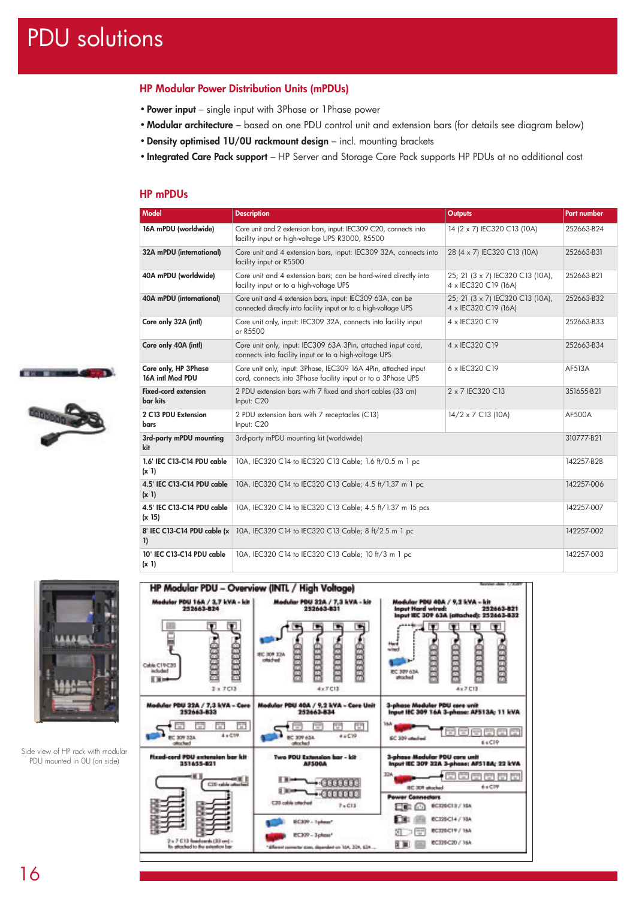# PDU solutions

# **HP Modular Power Distribution Units (mPDUs)**

- **Power input** single input with 3Phase or 1Phase power
- **Modular architecture** based on one PDU control unit and extension bars (for details see diagram below)
- •**Density optimised 1U/0U rackmount design** incl. mounting brackets
- **Integrated Care Pack support** HP Server and Storage Care Pack supports HP PDUs at no additional cost

# **HP mPDUs**

| <b>Model</b>                                | <b>Description</b>                                                                                                             | <b>Outputs</b>                                           | <b>Part number</b> |
|---------------------------------------------|--------------------------------------------------------------------------------------------------------------------------------|----------------------------------------------------------|--------------------|
| 16A mPDU (worldwide)                        | Core unit and 2 extension bars, input: IEC309 C20, connects into<br>facility input or high-voltage UPS R3000, R5500            | 14 (2 x 7) IEC320 C13 (10A)                              | 252663-B24         |
| 32A mPDU (international)                    | Core unit and 4 extension bars, input: IEC309 32A, connects into<br>facility input or R5500                                    | 28 (4 x 7) IEC320 C13 (10A)                              | 252663-B31         |
| 40A mPDU (worldwide)                        | Core unit and 4 extension bars; can be hard-wired directly into<br>facility input or to a high-voltage UPS                     | 25; 21 (3 x 7) IEC320 C13 (10A),<br>4 x IEC320 C19 (16A) | 252663-B21         |
| 40A mPDU (international)                    | Core unit and 4 extension bars, input: IEC309 63A, can be<br>connected directly into facility input or to a high-voltage UPS   | 25; 21 (3 x 7) IEC320 C13 (10A),<br>4 x IEC320 C19 (16A) | 252663-B32         |
| Core only 32A (intl)                        | Core unit only, input: IEC309 32A, connects into facility input<br>or R5500                                                    | 4 x IEC320 C19                                           | 252663-B33         |
| Core only 40A (intl)                        | Core unit only, input: IEC309 63A 3Pin, attached input cord,<br>connects into facility input or to a high-voltage UPS          | 4 x IEC320 C19                                           | 252663-B34         |
| Core only, HP 3Phase<br>16A intl Mod PDU    | Core unit only, input: 3Phase, IEC309 16A 4Pin, attached input<br>cord, connects into 3Phase facility input or to a 3Phase UPS | 6 x IEC320 C19                                           | AF513A             |
| <b>Fixed-cord extension</b><br>bar kits     | 2 PDU extension bars with 7 fixed and short cables (33 cm)<br>Input: C20                                                       | 2 x 7 IEC320 C13                                         | 351655-B21         |
| 2 C13 PDU Extension<br>bars                 | 2 PDU extension bars with 7 receptacles (C13)<br>Input: C20                                                                    | $14/2 \times 7$ C13 (10A)                                | <b>AF500A</b>      |
| 3rd-party mPDU mounting<br>kit              | 3rd-party mPDU mounting kit (worldwide)                                                                                        |                                                          | 310777-B21         |
| 1.6' IEC C13-C14 PDU cable<br>$(x_1)$       | 10A, IEC320 C14 to IEC320 C13 Cable; 1.6 ft/0.5 m 1 pc                                                                         |                                                          | 142257-B28         |
| 4.5' IEC C13-C14 PDU cable<br>(x 1)         | 10A, IEC320 C14 to IEC320 C13 Cable; 4.5 ft/1.37 m 1 pc                                                                        |                                                          | 142257-006         |
| 4.5' IEC C13-C14 PDU cable<br>(x 15)        | 10A, IEC320 C14 to IEC320 C13 Cable; 4.5 ft/1.37 m 15 pcs                                                                      |                                                          | 142257-007         |
| 8' IEC C13-C14 PDU cable (x<br>$\mathbf{I}$ | 10A, IEC320 C14 to IEC320 C13 Cable; 8 ft/2.5 m 1 pc                                                                           |                                                          | 142257-002         |
| 10' IEC C13-C14 PDU cable<br>(x 1)          | 10A, IEC320 C14 to IEC320 C13 Cable; 10 ft/3 m 1 pc                                                                            |                                                          | 142257-003         |



**STATE STATE** 

Side view of HP rack with modular PDU mounted in 0U (on side)

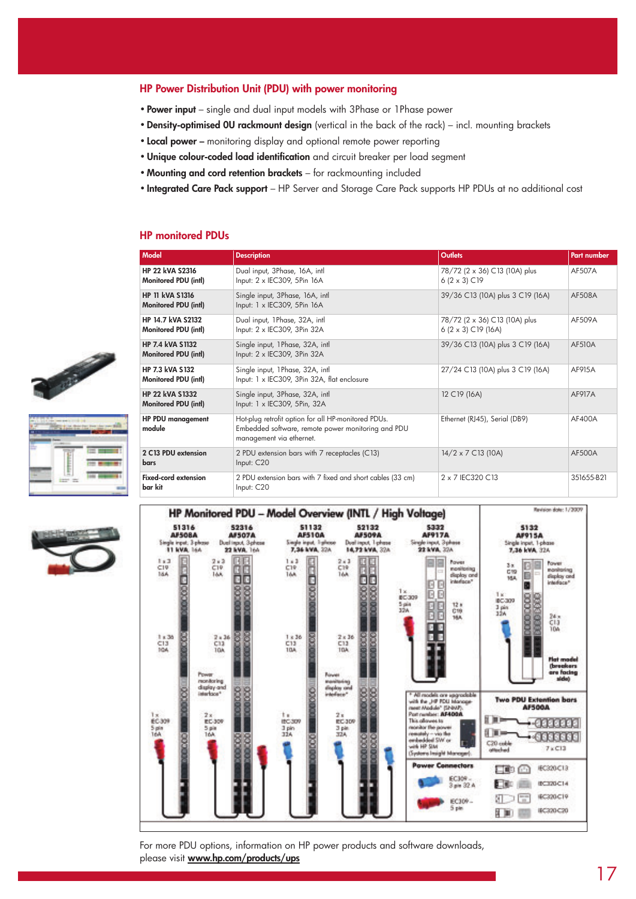# **HP Power Distribution Unit (PDU) with power monitoring**

- **Power input** single and dual input models with 3Phase or 1Phase power
- •**Density-optimised 0U rackmount design** (vertical in the back of the rack) incl. mounting brackets
- **Local power** monitoring display and optional remote power reporting
- •**Unique colour-coded load identification** and circuit breaker per load segment
- **Mounting and cord retention brackets** for rackmounting included
- **Integrated Care Pack support** HP Server and Storage Care Pack supports HP PDUs at no additional cost

# **HP monitored PDUs**

| Model                                                 | <b>Description</b>                                                                                                                    | <b>Outlets</b>                                                | <b>Part number</b> |
|-------------------------------------------------------|---------------------------------------------------------------------------------------------------------------------------------------|---------------------------------------------------------------|--------------------|
| <b>HP 22 kVA S2316</b><br>Monitored PDU (intl)        | Dual input, 3Phase, 16A, intl<br>Input: 2 x IEC309, 5Pin 16A                                                                          | 78/72 (2 x 36) C13 (10A) plus<br>$6(2 \times 3)$ C19          | AF507A             |
| <b>HP 11 kVA S1316</b><br><b>Monitored PDU (intl)</b> | Single input, 3Phase, 16A, intl<br>Input: 1 x IEC309, 5Pin 16A                                                                        | 39/36 C13 (10A) plus 3 C19 (16A)                              | <b>AF508A</b>      |
| HP 14.7 kVA S2132<br>Monitored PDU (intl)             | Dual input, 1Phase, 32A, intl<br>Input: 2 x IEC309, 3Pin 32A                                                                          | 78/72 (2 x 36) C13 (10A) plus<br>6 $(2 \times 3)$ C19 $(16A)$ | AF509A             |
| <b>HP 7.4 kVA S1132</b><br>Monitored PDU (intl)       | Single input, 1Phase, 32A, intl<br>Input: 2 x IEC309, 3Pin 32A                                                                        | 39/36 C13 (10A) plus 3 C19 (16A)                              | <b>AF510A</b>      |
| <b>HP 7.3 kVA S132</b><br>Monitored PDU (intl)        | Single input, 1Phase, 32A, intl.<br>Input: 1 x IEC309, 3Pin 32A, flat enclosure                                                       | 27/24 C13 (10A) plus 3 C19 (16A)                              | AF915A             |
| <b>HP 22 kVA S1332</b><br>Monitored PDU (intl)        | Single input, 3Phase, 32A, intl<br>Input: 1 x IEC309, 5Pin, 32A                                                                       | 12 C19 (16A)                                                  | <b>AF917A</b>      |
| <b>HP PDU management</b><br>module                    | Hot-plug retrofit option for all HP-monitored PDUs.<br>Embedded software, remote power monitoring and PDU<br>management via ethernet. | Ethernet (RJ45), Serial (DB9)                                 | AF400A             |
| 2 C13 PDU extension<br>bars                           | 2 PDU extension bars with 7 receptacles (C13)<br>Input: C20                                                                           | $14/2 \times 7$ C13 (10A)                                     | AF500A             |
| <b>Fixed-cord extension</b><br>bar kit                | 2 PDU extension bars with 7 fixed and short cables (33 cm)<br>Input: C20                                                              | 2 x 7 IEC320 C13                                              | 351655-B21         |



For more PDU options, information on HP power products and software downloads, please visit **www.hp.com/products/ups**